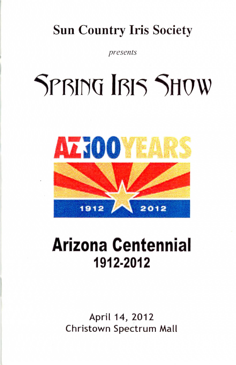### Sun Country Iris Society

*presents* 

# SPBING IBIS SHOW



### **Arizona Centennial 1912·2012**

April 14, 2012 Christown Spectrum Mall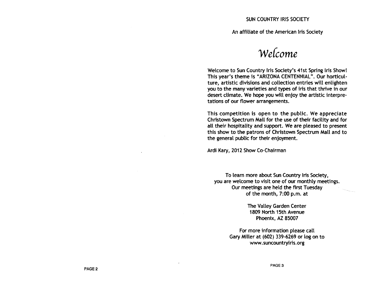An affiliate of the American Iris Society

Wefcome

Welcome to Sun Country Iris Society's 41st Spring Iris Showl This year's theme is "ARIZONA CENTENNIAL". Our horticulture, artistic divisions and collection entries will enlighten you to the many varieties and types of iris that thrive in our desert climate. We hope you will enjoy the artistic interpretations of our flower arrangements.

This competition is open to the public. We appreciate Christown Spectrum Mall for the use of their facility and for aU their hospitality and support. We are pleased to present this show to the patrons of Christown Spectrum Mall and to the general public for their enjoyment.

Ardi Kary, 2012 Show Co-Chairman

To learn more about Sun Country Iris Society, you are welcome to visit one of our monthly meetings. Our meetings are held the first Tuesday of the month, 7:00 p.m. at

> The Valley Garden Center 1809 North 15th Avenue Phoenix, AZ 85007

For more information please call Gary Miller at (602) 339-6269 or log on to www.suncountryiris.org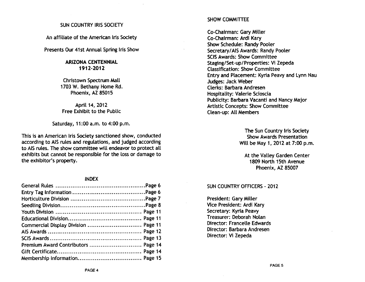#### SUN COUNTRY IRIS SOCIETY

An affiliate of the American Iris Society

Presents Our 41st Annual Spring Iris Show

#### ARIZONA CENTENNIAL 1912-2012

Christown Spectrum Mall 1703 W. Bethany Home Rd. Phoenix, AZ 85015

April 14, 2012 Free Exhibit to the Public

Saturday, 11:00 a.m. to 4:00 p.m.

This is an American Iris Society sanctioned show, conducted according to AIS rules and regulations, and judged according to AIS rules. The show committee will endeavor to protect all exhibits but cannot be responsible for the loss or damage to the exhibitor's property.

#### INDEX

| Commercial Display Division  Page 11 |  |
|--------------------------------------|--|
|                                      |  |
|                                      |  |
|                                      |  |
|                                      |  |
|                                      |  |

#### SHOW COMMITTEE

Co-Chairman: Gary Miller Co-Chairman: Ardi Kary Show Schedule: Randy Pooler Secretary/AIS Awards: Randy Pooler SCiS Awards: Show Committee Staging/Set-up/Properties: Vi Zepeda Classification: Show Committee Entry and Placement: Kyria Peavy and Lynn Nau Judges: Jack Weber Clerks: Barbara Andresen Hospitality: Valerie Scioscia Publicity: Barbara Vacanti and Nancy Major Artistic Concepts: Show Committee Clean-up: All Members

> The Sun Country Iris Society Show Awards Presentation Will be May 1, 2012 at 7:00 p.m.

At the Valley Garden Center 1809 North 15th Avenue Phoenix, AZ 85007

#### SUN COUNTRY OFFICERS - 2012

President: Gary Miller Vice President: Ardi Kary Secretary: Kyria Peavy Treasurer: Deborah Nolan Director: Francelle Edwards Director: Barbara Andresen Director: Vi Zepeda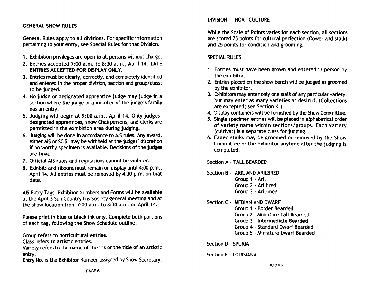#### GENERAL SHOW RULES

General Rules apply to all divisions. For spedfic information pertaining to your entry, see Special Rules for that Division.

- 1. Exhibition privileges are open to aU persons without charge.
- 2. Entries accepted 7:00 a.m. to 8:30 a.m., April 14. LATE ENTRIES ACCEPTED FOR DISPLAY ONLY.
- 3. Entries must be clearly, correctly, and completely identified and entered in the proper division, section and group/ class; to be judged.
- 4. No judge or designated apprentice judge may judge in a section where the judge or a member of the judge's family has an entry.
- 5. Judging will begin at 9:00 a.m., April 14. Only judges, designated apprentices, show Chairpersons, and clerks are permitted in the exhibition area during judging.
- 6. Judging will be done in accordance to A1S rules. Any award, either AIS or SClS, may be withheld at the judges' discretion if no worthy specimen is available. Decisions of the judges are final.
- 7. Official AIS rules and regulations cannot be violated.
- 8. Exhibits and ribbons must remain on display until 4:00 p.m., April 14. AU entries must be removed by 4:30 p.m. on that date.

AIS Entry Tags, Exhibitor Numbers and Forms will be available at the April 3 Sun Country Iris Society general meeting and at the show location from 7:00 a.m. to 8:30 a.m. on April 14.

Please print in blue or black ink only. Complete both portions of each tag, following the Show Schedule outline.

Group refers to horticultural entries.

Class refers to artistic entries.

Variety refers to the name of the iris or the title of an artistic entry.

Entry No. is the Exhibitor Number assigned by Show Secretary.

#### DIVISION I - HORTICULTURE

While the Scale of Points varies for each section, all sections are scored 75 points for cultural perfection (flower and stalk) and 25 points for condition and grooming.

#### SPECIAL RULES

- 1. Entries must have been grown and entered in person by the exhibitor.
- 2. Entries placed on the show bench will be judged as groomed by the exhibitor.
- 3. Exhibitors may enter only one stalk of any particular variety, but may enter as many varieties as desired. (Collections are excepted; see Section K.)
- 4. Display containers will be furnished by the Show Committee.
- 5. Single specimen entries will be placed in alphabetical order of variety name within sections/groups. Each variety (cultivar) is a separate class for judging.
- 6. Faded stalks may be groomed or removed by the Show Committee or the exhibitor anytime after the judging is completed.

Section A - TALL BEARDED

Section B - ARIL AND ARILBRED

- Group 1 Aril
- Group 2 Arilbred
- Group 3 Aril-med

Section C - MEDIAN AND DWARF

- Group 1 Border Bearded
- Group 2 Miniature TaU Bearded
- Group 3 Intermediate Bearded
- Group 4 Standard Dwarf Bearded
- Group 5 Miniature Dwarf Bearded

Section D - SPURIA

Section E - LOUISIANA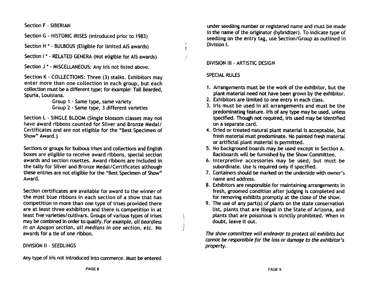Section F - SIBERIAN

Section G - HISTORIC IRISES (introduced prior to 1983)

Section H<sup>\*</sup> · BULBOUS (Eligible for limited AIS awards)

Section I \* - RELATED GENERA (Not eligible for AIS awards)

Section J<sup>\*</sup> - MISCELLANEOUS: Any iris not listed above.

Section K • COLLECTIONS: Three (3) stalks. Exhibitors may enter more than one collection in each group, but each collection must be a different type; for example: Tall Bearded, Spuria, Louisiana.

Group 1 • Same type, same variety Group 2 . Same type, 3 different varieties

Section L • SINGLE BLOOM (Single blossom classes may not have award ribbons counted for Silver and Bronze Medal/ Certificates and are not eligible for the "Best Specimen of Show" Award.)

Sections or groups for bulbous irises and collections and English boxes are eligible to receive award ribbons, special section awards and section rosettes. Award ribbons are included in the tally for Silver and Bronze Medal/Certificates although these entries are not eligible for the "Best Specimen of Show" Award.

Section certificates are available for award to the winner of the most blue ribbons in each section of a show that has competition in more than one type of irises provided there are at least three exhibitors and there is competition in at least five varieties/cultivars. Groups of various types of irises may be combined in order to qualify. For example, all beardless in an Apagon section, all medians in one section, etc. No awards for a tie of one ribbon.

#### DIVISION II - SEEDLINGS

Any type of iris not introduced into commerce. Must be entered

under seedling number or registered name and must be made in the name of the originator (hybridizer). To indicate type of seedling on the entry tag, use Section/Group as outlined in Division I.

#### DIVISION III - ARTISTIC DESIGN

#### SPECIAL RULES

 $\int$ 

I J

- 1. Arrangements must be the work of the exhibitor, but the plant material need not have been grown by the exhibitor.
- 2. Exhibitors are limited to one entry in each class.
- 3. Iris must be used in all arrangements and must be the predominating feature. Iris of any type may be used, unless specified. Though not required, iris used may be identified on a separate card.
- 4. Dried or treated natural plant material is acceptable, but fresh material must predominate. No painted fresh material or artificial plant material is permitted.
- 5. No background boards may be used except in Section A. Backboards will be furnished by the Show Committee.
- 6. Interpretive accessories may be used, but must be subordinate. Use is required only if specified.
- 7. Containers should be marked on the underside with owner's name and address.
- 8. Exhibitors are responsible for maintaining arrangements in fresh, groomed condition after judging is completed and for removing exhibits promptly at the close of the show.
- 9. The use of any part(s) of plants on the state conservation list, plants that are illegal in the State of Arizona, and plants that are poisonous is strictly prohibited. When in doubt, leave it out.

The show committee will endeavor to protect all exhibits but cannot be responsible for the loss or damage to the exhibitor's property.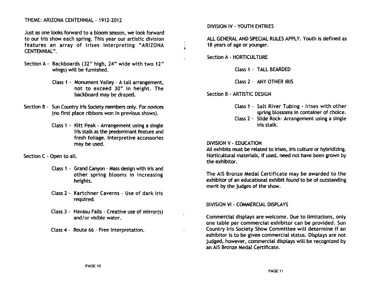THEME: ARIZONA CENTENNIAl- 1912-2012

Just as one looks forward to a bloom season, we look forward to our iris show each spring. This year our artistic division features an array of irises interpreting "ARIZONA CENTENNiAl" .

- Section A Backboards (32" high, 24" wide with two 12" wings) will be furnished.
	- Class 1 Monument Valley A tail arrangement, not to exceed 30" in height. The backboard may be draped.
- Section B Sun Country Iris Society members only. For novices (no first place ribbons won in previous shows).
	- Class 1 Kitt Peak Arrangement using a single iris stalk as the predominant feature and fresh foliage. Interpretive accessories may be used.

Section C - Open to all.

- Class 1 Grand Canyon Mass design with iris and other spring blooms in increasing heights.
- Class 2 Kartchner Caverns Use of dark iris required.
- Class 3 Havasu Falls Creative use of mirror(s) and/or visible water.
- Class 4 Route 66 Free Interpretation.

DIVISION IV - YOUTH ENTRIES

All GENERAL AND SPECIAL RULES APPLY. Youth is defined as 18 years of age or younger.

Section A - HORTICULTURE

Class 1 - TAll BEARDED

Class 2 - ANY OTHER IRIS

Section B - ARTISTIC DESIGN

- Class 1 Salt River Tubing Irises with other spring blossoms in container of choice.
- Class 2 Slide Rock- Arrangement using a single iris stalk.

DIVISION V - EDUCATION

All exhibits must be related to irises, iris culture or hybridizing. Horticultural materials, if used, need not have been grown by the exhibitor.

The AIS Bronze Medal Certificate may be awarded to the exhibitor of an educational exhibit found to be of outstanding merit by the judges of the show.

#### DIVISION VI - COMMERCIAL DISPLAYS

Commercial displays are welcome. Due to limitations, only one table per commercial exhibitor can be provided. Sun Country Iris Society Show Committee will determine if an exhibitor is to be given commercial status. Displays are not judged, however, commercial displays will be recognized by an AIS Bronze Medal Certificate.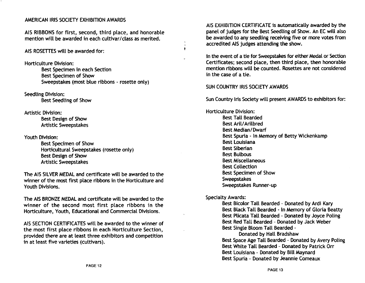#### AMERICAN IRIS SOCIETY EXHIBITION AWARDS

AIS RIBBONS for first, second, third place, and honorable mention will be awarded in each cultivar/class as merited.

AIS ROSETTES will be awarded for:

Horticulture Division: Best Specimen in each Section Best Specimen of Show Sweepstakes (most blue ribbons - rosette only)

Seedling Division: Best Seedling of Show

Artistic Division: Best Design of Show Artistic Sweepstakes

Youth Division:

Best Specimen of Show Horticultural Sweepstakes (rosette only) Best Design of Show Artistic Sweepstakes

The AIS SILVER MEDAL and certificate will be awarded to the winner of the most first place ribbons in the Horticulture and Youth Divisions.

The AIS BRONZE MEDAL and certificate will be awarded to the winner of the second most first place ribbons in the Horticulture, Youth, Educational and Commercial Divisions.

AIS SECTION CERTIFICATES will be awarded to the winner of the most first place ribbons in each Horticulture Section, provided there are at least three exhibitors and competition in at least five varieties (cultivars).

AIS EXHIBITION CERTIFICATE is automatically awarded by the panel of judges for the Best Seedling of Show. An EC will also be awarded to any seedling receiving five or more votes from accredited AIS judges attending the show.

In the event of a tie for Sweepstakes for either Medal or Section Certificates; second place, then third place, then honorable mention ribbons will be counted. Rosettes are not considered in the case of a tie.

SUN COUNTRY IRIS SOCIETY AWARDS

 $\bullet$ 

Sun Country Iris Society will present AWARDS to exhibitors for:

Horticulture Division: Best Tall Bearded Best Aril/Arilbred Best Median/Dwarf Best Spuria - In Memory of Betty Wickenkamp Best Louisiana Best Siberian Best Bulbous Best Miscellaneous Best Collection Best Specimen of Show Sweepstakes Sweepstakes Runner-up

Specialty Awards:

Best Bicolor Tall Bearded - Donated by Ardi Kary Best Black Tall Bearded - In Memory of Gloria Beatty Best Plicata Tall Bearded - Donated by Joyce Poling Best Red Tall Bearded - Donated by Jack Weber Best Single Bloom Tall Bearded -

Donated by Hall Bradshaw Best Space Age Tall Bearded - Donated by Avery Poling Best White Tall Bearded - Donated by Patrick Orr Best Louisiana - Donated by Bill Maynard Best Spuria - Donated by Jeannie Comeaux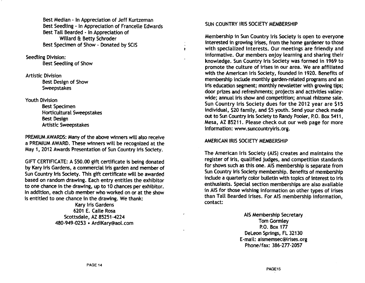Best Median - In Appreciation of Jeff Kurtzeman Best Seedling· In Appreciation of Francelle Edwards Best Tall Bearded - In Appreciation of Willard & Betty Schroder Best Specimen of Show - Donated by SCIS

Seedling Division: Best Seedling of Show

Artistic Division Best Design of Show Sweepstakes

#### Youth Division

Best Specimen Horticultural Sweepstakes Best Design Artistic Sweepstakes

PREMIUM AWARDS: Many of the above winners will also receive a PREMIUM AWARD. These winners will be recognized at the May 1,2012 Awards Presentation of Sun Country Iris Society.

GIFT CERTIFICATE: A \$50.00 gift certificate is being donated by Kary Iris Gardens, a commercial iris garden and member of Sun Country Iris Society. This gift certificate will be awarded based on random drawing. Each entry entitles the exhibitor to one chance in the drawing, up to 10 chances per exhibitor. In addition, each club member who worked on or at the show is entitled to one chance in the drawing. We thank:

> Kary Iris Gardens 6201 E. Calle Rosa Scottsdale, AZ 85251-4224 480-949·0253 • ArdiKary@aol.com

#### SUN COUNTRY IRIS SOCIETY MEMBERSHIP

Membership in Sun Country Iris Society is open to everyone interested in growing irises, from the home gardener to those with specialized interests. Our meetings are friendly and informative. Our members enjoy learning and sharing their knowledge. Sun Country Iris Society was formed in 1969 to promote the culture of irises in our area. We are affiliated with the American Iris Society, founded in 1920. Benefits of membership include monthly garden-related programs and an iris education segment; monthly newsletter with growing tips; door prizes and refreshments; projects and activities valleywide; annual iris show and competition; annual rhizome sale. Sun Country Iris Society dues for the 2012 year are \$15 individual, \$20 family, and \$5 youth. Send your check made out to Sun Country Iris Society to Randy Pooler, P.O. Box 5411, Mesa, AZ 85211. Please check out our web page for more information: www.suncountryiris.org.

#### AMERICAN IRIS SOCIETY MEMBERSHIP

The American Iris Society (AIS) creates and maintains the register of iris, qualified judges, and competition standards for shows such as this one. AIS membership is separate from ?un Country Iris Society membership. Benefits of membership melude a quarterly color bulletin with topics of interest to iris enthusiasts. Special section memberships are also available in AIS for those wishing information on other types of irises than TaU Bearded irises. For AIS membership information, contact:

> AIS Membership Secretary Tom Gormley P.O. Box 177 DeLeon Springs, FL 32130 E-mail: aismemsec@irises.org Phone/fax: 386-277-2057